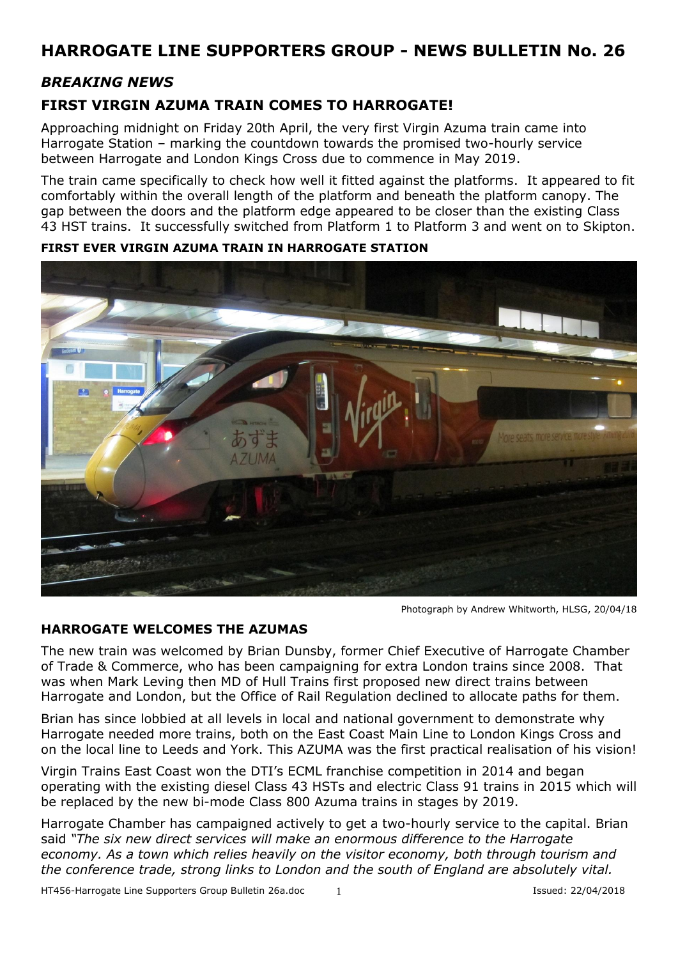## *BREAKING NEWS*

## **FIRST VIRGIN AZUMA TRAIN COMES TO HARROGATE!**

Approaching midnight on Friday 20th April, the very first Virgin Azuma train came into Harrogate Station – marking the countdown towards the promised two-hourly service between Harrogate and London Kings Cross due to commence in May 2019.

The train came specifically to check how well it fitted against the platforms. It appeared to fit comfortably within the overall length of the platform and beneath the platform canopy. The gap between the doors and the platform edge appeared to be closer than the existing Class 43 HST trains. It successfully switched from Platform 1 to Platform 3 and went on to Skipton.



**FIRST EVER VIRGIN AZUMA TRAIN IN HARROGATE STATION**

Photograph by Andrew Whitworth, HLSG, 20/04/18

#### **HARROGATE WELCOMES THE AZUMAS**

The new train was welcomed by Brian Dunsby, former Chief Executive of Harrogate Chamber of Trade & Commerce, who has been campaigning for extra London trains since 2008. That was when Mark Leving then MD of Hull Trains first proposed new direct trains between Harrogate and London, but the Office of Rail Regulation declined to allocate paths for them.

Brian has since lobbied at all levels in local and national government to demonstrate why Harrogate needed more trains, both on the East Coast Main Line to London Kings Cross and on the local line to Leeds and York. This AZUMA was the first practical realisation of his vision!

Virgin Trains East Coast won the DTI's ECML franchise competition in 2014 and began operating with the existing diesel Class 43 HSTs and electric Class 91 trains in 2015 which will be replaced by the new bi-mode Class 800 Azuma trains in stages by 2019.

Harrogate Chamber has campaigned actively to get a two-hourly service to the capital. Brian said *"The six new direct services will make an enormous difference to the Harrogate economy. As a town which relies heavily on the visitor economy, both through tourism and the conference trade, strong links to London and the south of England are absolutely vital.*

HT456-Harrogate Line Supporters Group Bulletin 26a.doc 1 Issued: 22/04/2018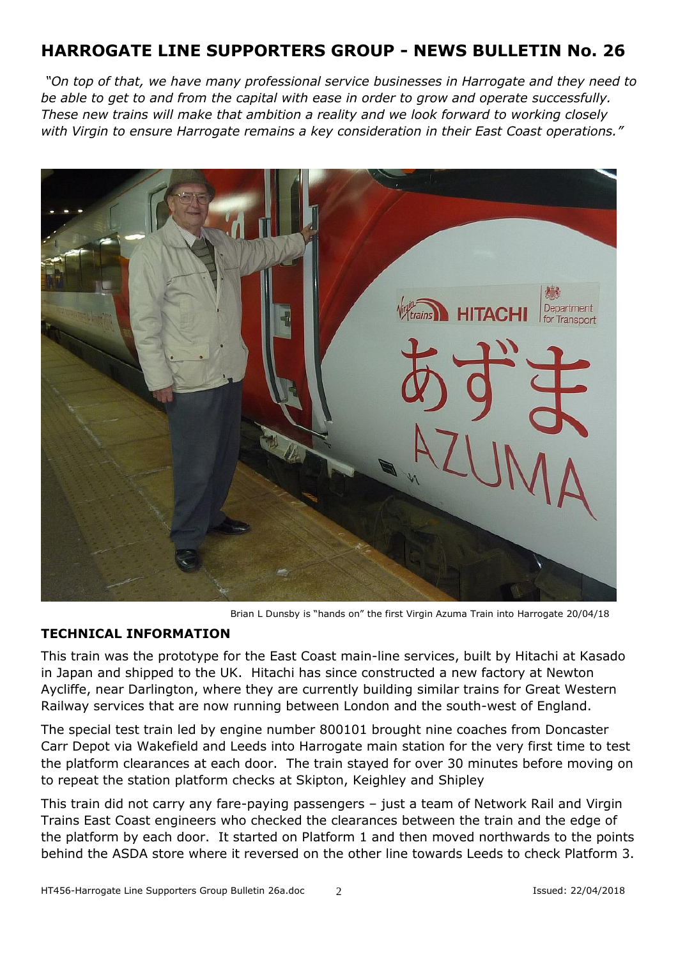*"On top of that, we have many professional service businesses in Harrogate and they need to be able to get to and from the capital with ease in order to grow and operate successfully. These new trains will make that ambition a reality and we look forward to working closely with Virgin to ensure Harrogate remains a key consideration in their East Coast operations."*



Brian L Dunsby is "hands on" the first Virgin Azuma Train into Harrogate 20/04/18

### **TECHNICAL INFORMATION**

This train was the prototype for the East Coast main-line services, built by Hitachi at Kasado in Japan and shipped to the UK. Hitachi has since constructed a new factory at Newton Aycliffe, near Darlington, where they are currently building similar trains for Great Western Railway services that are now running between London and the south-west of England.

The special test train led by engine number 800101 brought nine coaches from Doncaster Carr Depot via Wakefield and Leeds into Harrogate main station for the very first time to test the platform clearances at each door. The train stayed for over 30 minutes before moving on to repeat the station platform checks at Skipton, Keighley and Shipley

This train did not carry any fare-paying passengers – just a team of Network Rail and Virgin Trains East Coast engineers who checked the clearances between the train and the edge of the platform by each door. It started on Platform 1 and then moved northwards to the points behind the ASDA store where it reversed on the other line towards Leeds to check Platform 3.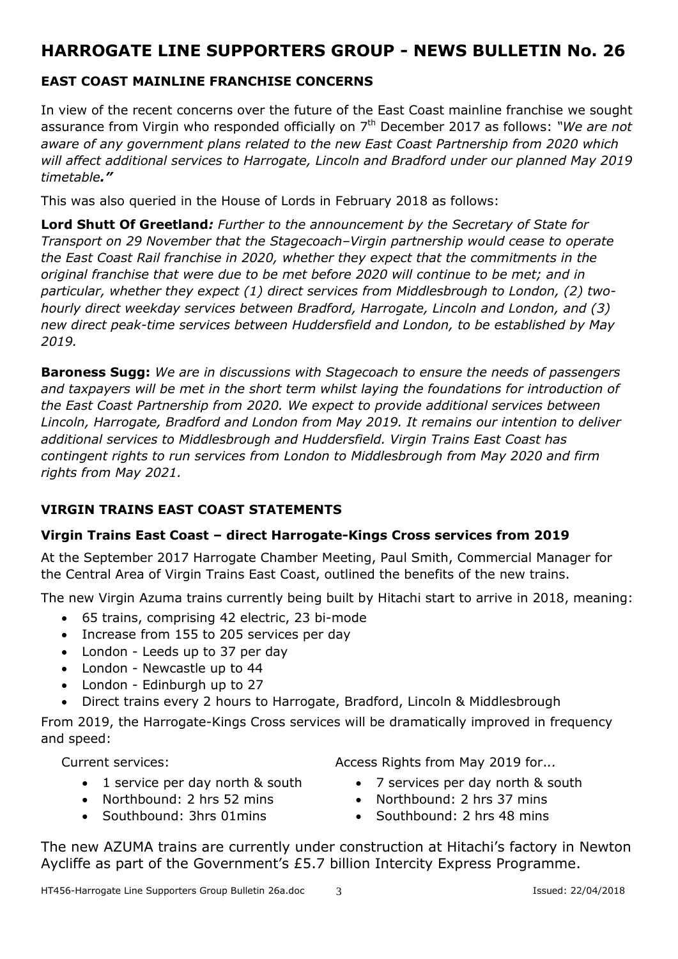## **EAST COAST MAINLINE FRANCHISE CONCERNS**

In view of the recent concerns over the future of the East Coast mainline franchise we sought assurance from Virgin who responded officially on 7 th December 2017 as follows: *"We are not aware of any government plans related to the new East Coast Partnership from 2020 which will affect additional services to Harrogate, Lincoln and Bradford under our planned May 2019 timetable."*

This was also queried in the House of Lords in February 2018 as follows:

**Lord Shutt Of Greetland***: Further to the announcement by the Secretary of State for Transport on 29 November that the Stagecoach–Virgin partnership would cease to operate the East Coast Rail franchise in 2020, whether they expect that the commitments in the original franchise that were due to be met before 2020 will continue to be met; and in particular, whether they expect (1) direct services from Middlesbrough to London, (2) twohourly direct weekday services between Bradford, Harrogate, Lincoln and London, and (3) new direct peak-time services between Huddersfield and London, to be established by May 2019.*

**Baroness Sugg:** *We are in discussions with Stagecoach to ensure the needs of passengers and taxpayers will be met in the short term whilst laying the foundations for introduction of the East Coast Partnership from 2020. We expect to provide additional services between Lincoln, Harrogate, Bradford and London from May 2019. It remains our intention to deliver additional services to Middlesbrough and Huddersfield. Virgin Trains East Coast has contingent rights to run services from London to Middlesbrough from May 2020 and firm rights from May 2021.*

### **VIRGIN TRAINS EAST COAST STATEMENTS**

### **Virgin Trains East Coast – direct Harrogate-Kings Cross services from 2019**

At the September 2017 Harrogate Chamber Meeting, Paul Smith, Commercial Manager for the Central Area of Virgin Trains East Coast, outlined the benefits of the new trains.

The new Virgin Azuma trains currently being built by Hitachi start to arrive in 2018, meaning:

- 65 trains, comprising 42 electric, 23 bi-mode
- Increase from 155 to 205 services per day
- London Leeds up to 37 per day
- London Newcastle up to 44
- London Edinburgh up to 27
- Direct trains every 2 hours to Harrogate, Bradford, Lincoln & Middlesbrough

From 2019, the Harrogate-Kings Cross services will be dramatically improved in frequency and speed:

Current services:

- 1 service per day north & south
- Northbound: 2 hrs 52 mins
- Southbound: 3hrs 01mins

Access Rights from May 2019 for.*..*

- 7 services per day north & south
- Northbound: 2 hrs 37 mins
- Southbound: 2 hrs 48 mins

The new AZUMA trains are currently under construction at Hitachi's factory in Newton Aycliffe as part of the Government's £5.7 billion Intercity Express Programme.